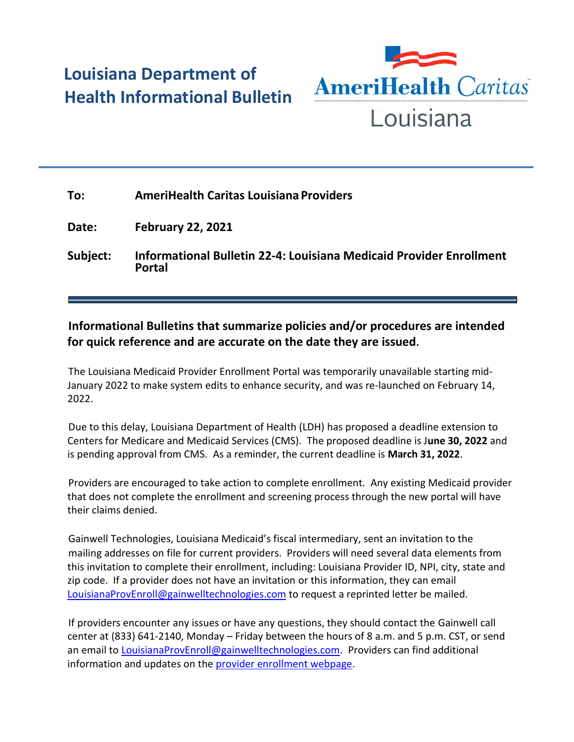## **Louisiana Department of Health Informational Bulletin**



| To:      | <b>AmeriHealth Caritas Louisiana Providers</b>                                              |
|----------|---------------------------------------------------------------------------------------------|
| Date:    | <b>February 22, 2021</b>                                                                    |
| Subject: | <b>Informational Bulletin 22-4: Louisiana Medicaid Provider Enrollment</b><br><b>Portal</b> |

## **Informational Bulletins that summarize policies and/or procedures are intended for quick reference and are accurate on the date they are issued.**

The Louisiana Medicaid Provider Enrollment Portal was temporarily unavailable starting mid-January 2022 to make system edits to enhance security, and was re-launched on February 14, 2022.

Due to this delay, Louisiana Department of Health (LDH) has proposed a deadline extension to Centers for Medicare and Medicaid Services (CMS). The proposed deadline is J**une 30, 2022** and is pending approval from CMS. As a reminder, the current deadline is **March 31, 2022**.

Providers are encouraged to take action to complete enrollment. Any existing Medicaid provider that does not complete the enrollment and screening process through the new portal will have their claims denied.

Gainwell Technologies, Louisiana Medicaid's fiscal intermediary, sent an invitation to the mailing addresses on file for current providers. Providers will need several data elements from this invitation to complete their enrollment, including: Louisiana Provider ID, NPI, city, state and zip code. If a provider does not have an invitation or this information, they can email <LouisianaProvEnroll@gainwelltechnologies.com> to request a reprinted letter be mailed.

If providers encounter any issues or have any questions, they should contact the Gainwell call center at (833) 641-2140, Monday – Friday between the hours of 8 a.m. and 5 p.m. CST, or send an email to [LouisianaProvEnroll@gainwelltechnologies.com.](mailto:LouisianaProvEnroll@gainwelltechnologies.com) Providers can find additional information and updates on the [provider enrollment webpage.](https://ldh.la.gov/page/4125)